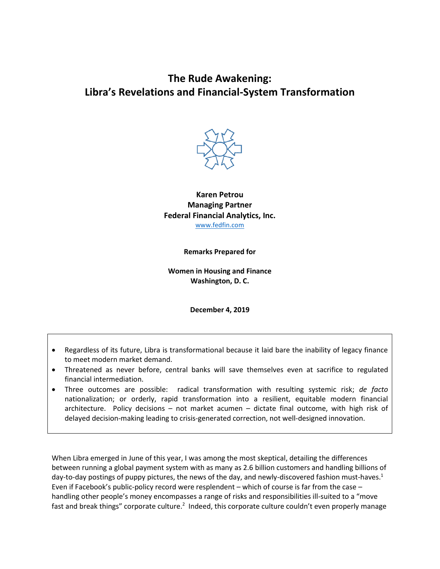# **The Rude Awakening: Libra's Revelations and Financial-System Transformation**



**Karen Petrou Managing Partner Federal Financial Analytics, Inc.** [www.fedfin.com](http://www.fedfin.com/)

**Remarks Prepared for**

**Women in Housing and Finance Washington, D. C.**

**December 4, 2019**

- Regardless of its future, Libra is transformational because it laid bare the inability of legacy finance to meet modern market demand.
- Threatened as never before, central banks will save themselves even at sacrifice to regulated financial intermediation.
- Three outcomes are possible: radical transformation with resulting systemic risk; *de facto* nationalization; or orderly, rapid transformation into a resilient, equitable modern financial architecture. Policy decisions – not market acumen – dictate final outcome, with high risk of delayed decision-making leading to crisis-generated correction, not well-designed innovation.

When Libra emerged in June of this year, I was among the most skeptical, detailing the differences between running a global payment system with as many as 2.6 billion customers and handling billions of day-to-day postings of puppy pictures, the news of the day, and newly-discovered fashion must-haves.<sup>1</sup> Even if Facebook's public-policy record were resplendent – which of course is far from the case – handling other people's money encompasses a range of risks and responsibilities ill-suited to a "move fast and break things" corporate culture.<sup>2</sup> Indeed, this corporate culture couldn't even properly manage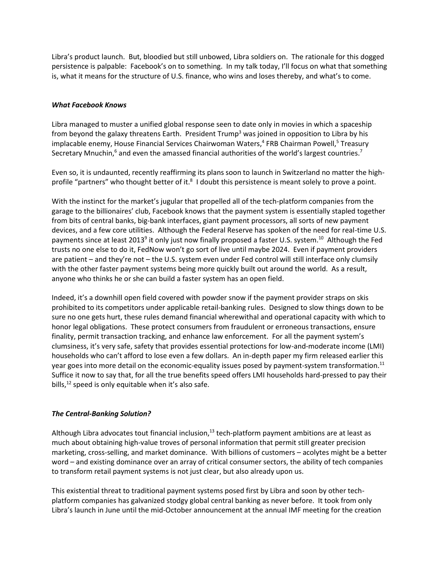Libra's product launch. But, bloodied but still unbowed, Libra soldiers on. The rationale for this dogged persistence is palpable: Facebook's on to something. In my talk today, I'll focus on what that something is, what it means for the structure of U.S. finance, who wins and loses thereby, and what's to come.

### *What Facebook Knows*

Libra managed to muster a unified global response seen to date only in movies in which a spaceship from beyond the galaxy threatens Earth. President Trump<sup>3</sup> was joined in opposition to Libra by his implacable enemy, House Financial Services Chairwoman Waters,<sup>4</sup> FRB Chairman Powell,<sup>5</sup> Treasury Secretary Mnuchin,<sup>6</sup> and even the amassed financial authorities of the world's largest countries.<sup>7</sup>

Even so, it is undaunted, recently reaffirming its plans soon to launch in Switzerland no matter the highprofile "partners" who thought better of it.<sup>8</sup> I doubt this persistence is meant solely to prove a point.

With the instinct for the market's jugular that propelled all of the tech-platform companies from the garage to the billionaires' club, Facebook knows that the payment system is essentially stapled together from bits of central banks, big-bank interfaces, giant payment processors, all sorts of new payment devices, and a few core utilities. Although the Federal Reserve has spoken of the need for real-time U.S. payments since at least 2013<sup>9</sup> it only just now finally proposed a faster U.S. system.<sup>10</sup> Although the Fed trusts no one else to do it, FedNow won't go sort of live until maybe 2024. Even if payment providers are patient – and they're not – the U.S. system even under Fed control will still interface only clumsily with the other faster payment systems being more quickly built out around the world. As a result, anyone who thinks he or she can build a faster system has an open field.

Indeed, it's a downhill open field covered with powder snow if the payment provider straps on skis prohibited to its competitors under applicable retail-banking rules. Designed to slow things down to be sure no one gets hurt, these rules demand financial wherewithal and operational capacity with which to honor legal obligations. These protect consumers from fraudulent or erroneous transactions, ensure finality, permit transaction tracking, and enhance law enforcement. For all the payment system's clumsiness, it's very safe, safety that provides essential protections for low-and-moderate income (LMI) households who can't afford to lose even a few dollars. An in-depth paper my firm released earlier this year goes into more detail on the economic-equality issues posed by payment-system transformation.<sup>11</sup> Suffice it now to say that, for all the true benefits speed offers LMI households hard-pressed to pay their bills,<sup>12</sup> speed is only equitable when it's also safe.

### *The Central-Banking Solution?*

Although Libra advocates tout financial inclusion, $13$  tech-platform payment ambitions are at least as much about obtaining high-value troves of personal information that permit still greater precision marketing, cross-selling, and market dominance. With billions of customers – acolytes might be a better word – and existing dominance over an array of critical consumer sectors, the ability of tech companies to transform retail payment systems is not just clear, but also already upon us.

This existential threat to traditional payment systems posed first by Libra and soon by other techplatform companies has galvanized stodgy global central banking as never before. It took from only Libra's launch in June until the mid-October announcement at the annual IMF meeting for the creation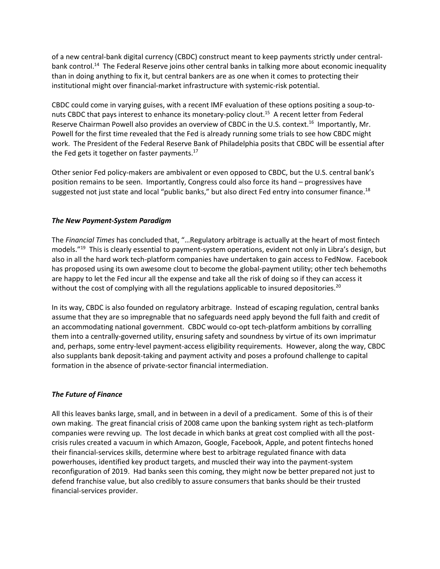of a new central-bank digital currency (CBDC) construct meant to keep payments strictly under centralbank control.<sup>14</sup> The Federal Reserve joins other central banks in talking more about economic inequality than in doing anything to fix it, but central bankers are as one when it comes to protecting their institutional might over financial-market infrastructure with systemic-risk potential.

CBDC could come in varying guises, with a recent IMF evaluation of these options positing a soup-tonuts CBDC that pays interest to enhance its monetary-policy clout.<sup>15</sup> A recent letter from Federal Reserve Chairman Powell also provides an overview of CBDC in the U.S. context.<sup>16</sup> Importantly, Mr. Powell for the first time revealed that the Fed is already running some trials to see how CBDC might work. The President of the Federal Reserve Bank of Philadelphia posits that CBDC will be essential after the Fed gets it together on faster payments. $17$ 

Other senior Fed policy-makers are ambivalent or even opposed to CBDC, but the U.S. central bank's position remains to be seen. Importantly, Congress could also force its hand – progressives have suggested not just state and local "public banks," but also direct Fed entry into consumer finance.<sup>18</sup>

## *The New Payment-System Paradigm*

The *Financial Times* has concluded that, "…Regulatory arbitrage is actually at the heart of most fintech models."<sup>19</sup> This is clearly essential to payment-system operations, evident not only in Libra's design, but also in all the hard work tech-platform companies have undertaken to gain access to FedNow. Facebook has proposed using its own awesome clout to become the global-payment utility; other tech behemoths are happy to let the Fed incur all the expense and take all the risk of doing so if they can access it without the cost of complying with all the regulations applicable to insured depositories.<sup>20</sup>

In its way, CBDC is also founded on regulatory arbitrage. Instead of escaping regulation, central banks assume that they are so impregnable that no safeguards need apply beyond the full faith and credit of an accommodating national government. CBDC would co-opt tech-platform ambitions by corralling them into a centrally-governed utility, ensuring safety and soundness by virtue of its own imprimatur and, perhaps, some entry-level payment-access eligibility requirements. However, along the way, CBDC also supplants bank deposit-taking and payment activity and poses a profound challenge to capital formation in the absence of private-sector financial intermediation.

### *The Future of Finance*

All this leaves banks large, small, and in between in a devil of a predicament. Some of this is of their own making. The great financial crisis of 2008 came upon the banking system right as tech-platform companies were revving up. The lost decade in which banks at great cost complied with all the postcrisis rules created a vacuum in which Amazon, Google, Facebook, Apple, and potent fintechs honed their financial-services skills, determine where best to arbitrage regulated finance with data powerhouses, identified key product targets, and muscled their way into the payment-system reconfiguration of 2019. Had banks seen this coming, they might now be better prepared not just to defend franchise value, but also credibly to assure consumers that banks should be their trusted financial-services provider.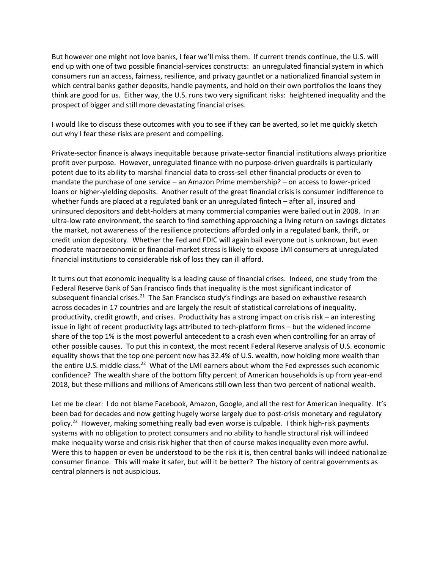But however one might not love banks, I fear we'll miss them. If current trends continue, the U.S. will end up with one of two possible financial-services constructs: an unregulated financial system in which consumers run an access, fairness, resilience, and privacy gauntlet or a nationalized financial system in which central banks gather deposits, handle payments, and hold on their own portfolios the loans they think are good for us. Either way, the U.S. runs two very significant risks: heightened inequality and the prospect of bigger and still more devastating financial crises.

I would like to discuss these outcomes with you to see if they can be averted, so let me quickly sketch out why I fear these risks are present and compelling.

Private-sector finance is always inequitable because private-sector financial institutions always prioritize profit over purpose. However, unregulated finance with no purpose-driven guardrails is particularly potent due to its ability to marshal financial data to cross-sell other financial products or even to mandate the purchase of one service – an Amazon Prime membership? – on access to lower-priced loans or higher-yielding deposits. Another result of the great financial crisis is consumer indifference to whether funds are placed at a regulated bank or an unregulated fintech – after all, insured and uninsured depositors and debt-holders at many commercial companies were bailed out in 2008. In an ultra-low rate environment, the search to find something approaching a living return on savings dictates the market, not awareness of the resilience protections afforded only in a regulated bank, thrift, or credit union depository. Whether the Fed and FDIC will again bail everyone out is unknown, but even moderate macroeconomic or financial-market stress is likely to expose LMI consumers at unregulated financial institutions to considerable risk of loss they can ill afford.

It turns out that economic inequality is a leading cause of financial crises. Indeed, one study from the Federal Reserve Bank of San Francisco finds that inequality is the most significant indicator of subsequent financial crises. $^{21}$  The San Francisco study's findings are based on exhaustive research across decades in 17 countries and are largely the result of statistical correlations of inequality, productivity, credit growth, and crises. Productivity has a strong impact on crisis risk – an interesting issue in light of recent productivity lags attributed to tech-platform firms – but the widened income share of the top 1% is the most powerful antecedent to a crash even when controlling for an array of other possible causes. To put this in context, the most recent Federal Reserve analysis of U.S. economic equality shows that the top one percent now has 32.4% of U.S. wealth, now holding more wealth than the entire U.S. middle class.<sup>22</sup> What of the LMI earners about whom the Fed expresses such economic confidence? The wealth share of the bottom fifty percent of American households is up from year-end 2018, but these millions and millions of Americans still own less than two percent of national wealth.

Let me be clear: I do not blame Facebook, Amazon, Google, and all the rest for American inequality. It's been bad for decades and now getting hugely worse largely due to post-crisis monetary and regulatory policy.<sup>23</sup> However, making something really bad even worse is culpable. I think high-risk payments systems with no obligation to protect consumers and no ability to handle structural risk will indeed make inequality worse and crisis risk higher that then of course makes inequality even more awful. Were this to happen or even be understood to be the risk it is, then central banks will indeed nationalize consumer finance. This will make it safer, but will it be better? The history of central governments as central planners is not auspicious.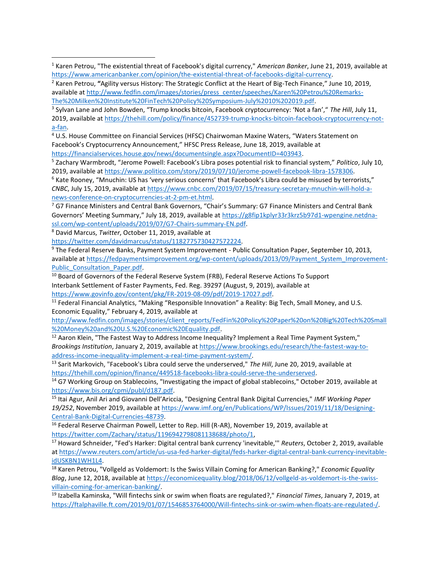<sup>4</sup> U.S. House Committee on Financial Services (HFSC) Chairwoman Maxine Waters, "Waters Statement on Facebook's Cryptocurrency Announcement," HFSC Press Release, June 18, 2019, available at [https://financialservices.house.gov/news/documentsingle.aspx?DocumentID=403943.](https://financialservices.house.gov/news/documentsingle.aspx?DocumentID=403943)

<sup>5</sup> Zachary Warmbrodt, "Jerome Powell: Facebook's Libra poses potential risk to financial system," *Politico*, July 10, 2019, available a[t https://www.politico.com/story/2019/07/10/jerome-powell-facebook-libra-1578306.](https://www.politico.com/story/2019/07/10/jerome-powell-facebook-libra-1578306)

 $6$  Kate Rooney, "Mnuchin: US has 'very serious concerns' that Facebook's Libra could be misused by terrorists," *CNBC*, July 15, 2019, available at [https://www.cnbc.com/2019/07/15/treasury-secretary-mnuchin-will-hold-a](https://www.cnbc.com/2019/07/15/treasury-secretary-mnuchin-will-hold-a-news-conference-on-cryptocurrencies-at-2-pm-et.html)[news-conference-on-cryptocurrencies-at-2-pm-et.html.](https://www.cnbc.com/2019/07/15/treasury-secretary-mnuchin-will-hold-a-news-conference-on-cryptocurrencies-at-2-pm-et.html)

 $7$  G7 Finance Ministers and Central Bank Governors, "Chair's Summary: G7 Finance Ministers and Central Bank Governors' Meeting Summary," July 18, 2019, available at [https://g8fip1kplyr33r3krz5b97d1-wpengine.netdna](https://g8fip1kplyr33r3krz5b97d1-wpengine.netdna-ssl.com/wp-content/uploads/2019/07/G7-Chairs-summary-EN.pdf)[ssl.com/wp-content/uploads/2019/07/G7-Chairs-summary-EN.pdf.](https://g8fip1kplyr33r3krz5b97d1-wpengine.netdna-ssl.com/wp-content/uploads/2019/07/G7-Chairs-summary-EN.pdf)

<sup>8</sup> David Marcus, *Twitter*, October 11, 2019, available at

 $\overline{a}$ 

[https://twitter.com/davidmarcus/status/1182775730427572224.](https://twitter.com/davidmarcus/status/1182775730427572224)

<sup>9</sup> The Federal Reserve Banks, Payment System Improvement - Public Consultation Paper, September 10, 2013, available a[t https://fedpaymentsimprovement.org/wp-content/uploads/2013/09/Payment\\_System\\_Improvement-](https://fedpaymentsimprovement.org/wp-content/uploads/2013/09/Payment_System_Improvement-Public_Consultation_Paper.pdf)Public Consultation Paper.pdf.

<sup>10</sup> Board of Governors of the Federal Reserve System (FRB), Federal Reserve Actions To Support Interbank Settlement of Faster Payments, Fed. Reg. 39297 (August, 9, 2019), available at [https://www.govinfo.gov/content/pkg/FR-2019-08-09/pdf/2019-17027.pdf.](https://www.govinfo.gov/content/pkg/FR-2019-08-09/pdf/2019-17027.pdf)

<sup>11</sup> Federal Financial Analytics, "Making "Responsible Innovation" a Reality: Big Tech, Small Money, and U.S. Economic Equality," February 4, 2019, available at

[http://www.fedfin.com/images/stories/client\\_reports/FedFin%20Policy%20Paper%20on%20Big%20Tech%20Small](http://www.fedfin.com/images/stories/client_reports/FedFin%20Policy%20Paper%20on%20Big%20Tech%20Small%20Money%20and%20U.S.%20Economic%20Equality.pdf) [%20Money%20and%20U.S.%20Economic%20Equality.pdf.](http://www.fedfin.com/images/stories/client_reports/FedFin%20Policy%20Paper%20on%20Big%20Tech%20Small%20Money%20and%20U.S.%20Economic%20Equality.pdf)

 $12$  Aaron Klein, "The Fastest Way to Address Income Inequality? Implement a Real Time Payment System," *Brookings Institution*, January 2, 2019, available at [https://www.brookings.edu/research/the-fastest-way-to](https://www.brookings.edu/research/the-fastest-way-to-address-income-inequality-implement-a-real-time-payment-system/)[address-income-inequality-implement-a-real-time-payment-system/.](https://www.brookings.edu/research/the-fastest-way-to-address-income-inequality-implement-a-real-time-payment-system/)

<sup>13</sup> Sarit Markovich, "Facebook's Libra could serve the underserved," *The Hill*, June 20, 2019, available at [https://thehill.com/opinion/finance/449518-facebooks-libra-could-serve-the-underserved.](https://thehill.com/opinion/finance/449518-facebooks-libra-could-serve-the-underserved)

<sup>14</sup> G7 Working Group on Stablecoins, "Investigating the impact of global stablecoins," October 2019, available at [https://www.bis.org/cpmi/publ/d187.pdf.](https://www.bis.org/cpmi/publ/d187.pdf)

<sup>15</sup> Itai Agur, Anil Ari and Giovanni Dell'Ariccia, "Designing Central Bank Digital Currencies," *IMF Working Paper 19/252*, November 2019, available at [https://www.imf.org/en/Publications/WP/Issues/2019/11/18/Designing-](https://www.imf.org/en/Publications/WP/Issues/2019/11/18/Designing-Central-Bank-Digital-Currencies-48739)[Central-Bank-Digital-Currencies-48739.](https://www.imf.org/en/Publications/WP/Issues/2019/11/18/Designing-Central-Bank-Digital-Currencies-48739)

<sup>16</sup> Federal Reserve Chairman Powell, Letter to Rep. Hill (R-AR), November 19, 2019, available at [https://twitter.com/Zachary/status/1196942798081138688/photo/1,](https://twitter.com/Zachary/status/1196942798081138688/photo/1)

<sup>17</sup> Howard Schneider, "Fed's Harker: Digital central bank currency 'inevitable,'" *Reuters*, October 2, 2019, available a[t https://www.reuters.com/article/us-usa-fed-harker-digital/feds-harker-digital-central-bank-currency-inevitable](https://www.reuters.com/article/us-usa-fed-harker-digital/feds-harker-digital-central-bank-currency-inevitable-idUSKBN1WH1L4)[idUSKBN1WH1L4.](https://www.reuters.com/article/us-usa-fed-harker-digital/feds-harker-digital-central-bank-currency-inevitable-idUSKBN1WH1L4)

<sup>18</sup> Karen Petrou, "Vollgeld as Voldemort: Is the Swiss Villain Coming for American Banking?," *Economic Equality Blog*, June 12, 2018, available at [https://economicequality.blog/2018/06/12/vollgeld-as-voldemort-is-the-swiss](https://economicequality.blog/2018/06/12/vollgeld-as-voldemort-is-the-swiss-villain-coming-for-american-banking/)[villain-coming-for-american-banking/.](https://economicequality.blog/2018/06/12/vollgeld-as-voldemort-is-the-swiss-villain-coming-for-american-banking/)

<sup>19</sup> Izabella Kaminska, "Will fintechs sink or swim when floats are regulated?," *Financial Times*, January 7, 2019, at [https://ftalphaville.ft.com/2019/01/07/1546853764000/Will-fintechs-sink-or-swim-when-floats-are-regulated-/.](https://ftalphaville.ft.com/2019/01/07/1546853764000/Will-fintechs-sink-or-swim-when-floats-are-regulated-/)

<sup>1</sup> Karen Petrou, "The existential threat of Facebook's digital currency," *American Banker*, June 21, 2019, available at [https://www.americanbanker.com/opinion/the-existential-threat-of-facebooks-digital-currency.](https://www.americanbanker.com/opinion/the-existential-threat-of-facebooks-digital-currency)

<sup>2</sup> Karen Petrou, **"**Agility versus History: The Strategic Conflict at the Heart of Big-Tech Finance," June 10, 2019, available a[t http://www.fedfin.com/images/stories/press\\_center/speeches/Karen%20Petrou%20Remarks-](http://www.fedfin.com/images/stories/press_center/speeches/Karen%20Petrou%20Remarks-The%20Milken%20Institute%20FinTech%20Policy%20Symposium-July%2010%202019.pdf)[The%20Milken%20Institute%20FinTech%20Policy%20Symposium-July%2010%202019.pdf.](http://www.fedfin.com/images/stories/press_center/speeches/Karen%20Petrou%20Remarks-The%20Milken%20Institute%20FinTech%20Policy%20Symposium-July%2010%202019.pdf)

<sup>3</sup> Sylvan Lane and John Bowden, "Trump knocks bitcoin, Facebook cryptocurrency: 'Not a fan'," *The Hill*, July 11, 2019, available a[t https://thehill.com/policy/finance/452739-trump-knocks-bitcoin-facebook-cryptocurrency-not](https://thehill.com/policy/finance/452739-trump-knocks-bitcoin-facebook-cryptocurrency-not-a-fan)[a-fan.](https://thehill.com/policy/finance/452739-trump-knocks-bitcoin-facebook-cryptocurrency-not-a-fan)